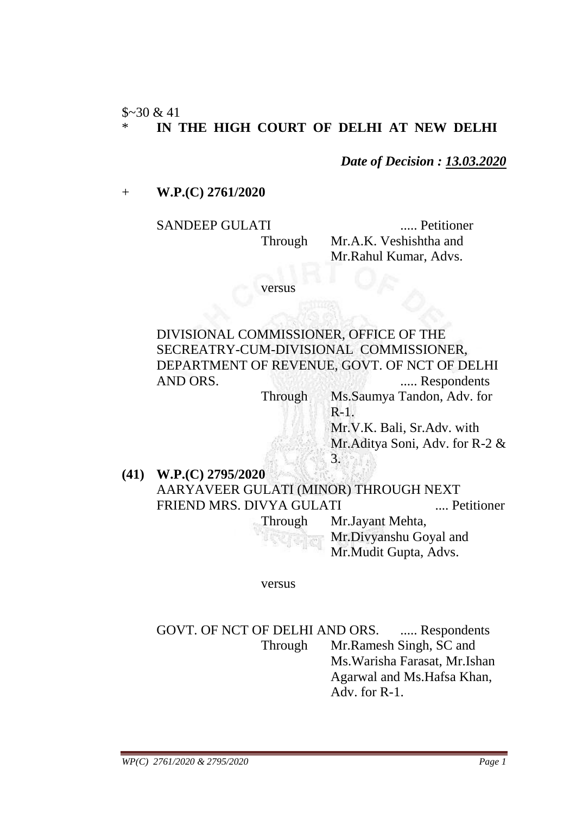$$~30 & 41$ 

# IN THE HIGH COURT OF DELHI AT NEW DELHI

*Date of Decision : 13.03.2020*

+ **W.P.(C) 2761/2020**

SANDEEP GULATI ....... Petitioner Through Mr.A.K. Veshishtha and Mr.Rahul Kumar, Advs.

versus

DIVISIONAL COMMISSIONER, OFFICE OF THE SECREATRY-CUM-DIVISIONAL COMMISSIONER, DEPARTMENT OF REVENUE, GOVT. OF NCT OF DELHI AND ORS. ...... Respondents

Through Ms.Saumya Tandon, Adv. for R-1.

> Mr.V.K. Bali, Sr.Adv. with Mr.Aditya Soni, Adv. for R-2 & 3.

**(41) W.P.(C) 2795/2020** AARYAVEER GULATI (MINOR) THROUGH NEXT FRIEND MRS. DIVYA GULATI .... Petitioner Through Mr.Jayant Mehta,

Mr.Divyanshu Goyal and Mr.Mudit Gupta, Advs.

versus

GOVT. OF NCT OF DELHI AND ORS. ..... Respondents Through Mr.Ramesh Singh, SC and Ms.Warisha Farasat, Mr.Ishan Agarwal and Ms.Hafsa Khan, Adv. for R-1.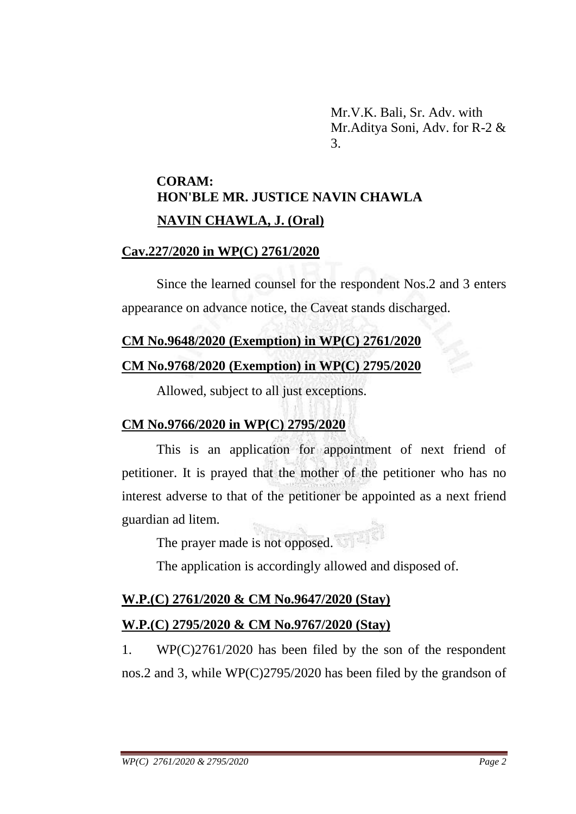Mr.V.K. Bali, Sr. Adv. with Mr.Aditya Soni, Adv. for R-2 & 3.

# **CORAM: HON'BLE MR. JUSTICE NAVIN CHAWLA NAVIN CHAWLA, J. (Oral)**

#### **Cav.227/2020 in WP(C) 2761/2020**

Since the learned counsel for the respondent Nos.2 and 3 enters appearance on advance notice, the Caveat stands discharged.

### **CM No.9648/2020 (Exemption) in WP(C) 2761/2020**

### **CM No.9768/2020 (Exemption) in WP(C) 2795/2020**

Allowed, subject to all just exceptions.

# **CM No.9766/2020 in WP(C) 2795/2020**

This is an application for appointment of next friend of petitioner. It is prayed that the mother of the petitioner who has no interest adverse to that of the petitioner be appointed as a next friend guardian ad litem.

The prayer made is not opposed.

The application is accordingly allowed and disposed of.

# **W.P.(C) 2761/2020 & CM No.9647/2020 (Stay)**

# **W.P.(C) 2795/2020 & CM No.9767/2020 (Stay)**

1. WP(C)2761/2020 has been filed by the son of the respondent nos.2 and 3, while WP(C)2795/2020 has been filed by the grandson of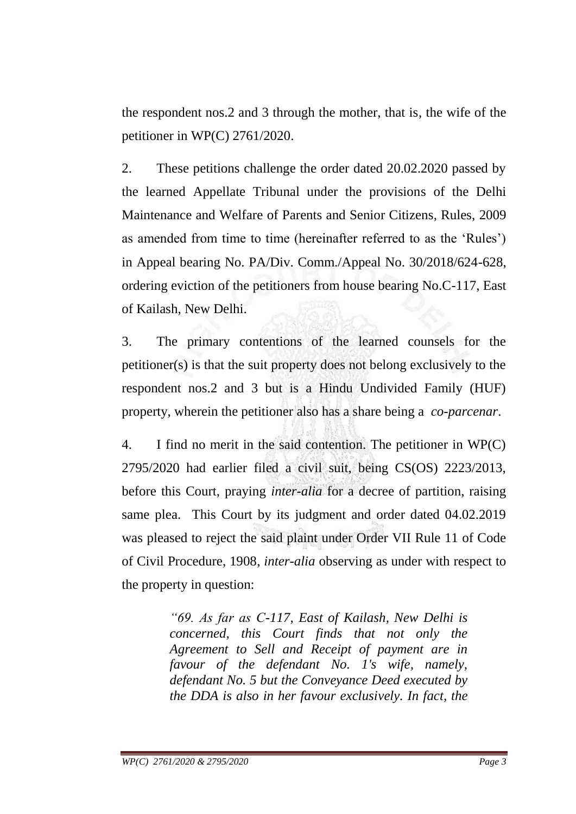the respondent nos.2 and 3 through the mother, that is, the wife of the petitioner in WP(C) 2761/2020.

2. These petitions challenge the order dated 20.02.2020 passed by the learned Appellate Tribunal under the provisions of the Delhi Maintenance and Welfare of Parents and Senior Citizens, Rules, 2009 as amended from time to time (hereinafter referred to as the 'Rules') in Appeal bearing No. PA/Div. Comm./Appeal No. 30/2018/624-628, ordering eviction of the petitioners from house bearing No.C-117, East of Kailash, New Delhi.

3. The primary contentions of the learned counsels for the petitioner(s) is that the suit property does not belong exclusively to the respondent nos.2 and 3 but is a Hindu Undivided Family (HUF) property, wherein the petitioner also has a share being a *co-parcenar*.

4. I find no merit in the said contention. The petitioner in WP(C) 2795/2020 had earlier filed a civil suit, being CS(OS) 2223/2013, before this Court, praying *inter-alia* for a decree of partition, raising same plea. This Court by its judgment and order dated 04.02.2019 was pleased to reject the said plaint under Order VII Rule 11 of Code of Civil Procedure, 1908, *inter-alia* observing as under with respect to the property in question:

> *"69. As far as C-117, East of Kailash, New Delhi is concerned, this Court finds that not only the Agreement to Sell and Receipt of payment are in favour of the defendant No. 1's wife, namely, defendant No. 5 but the Conveyance Deed executed by the DDA is also in her favour exclusively. In fact, the*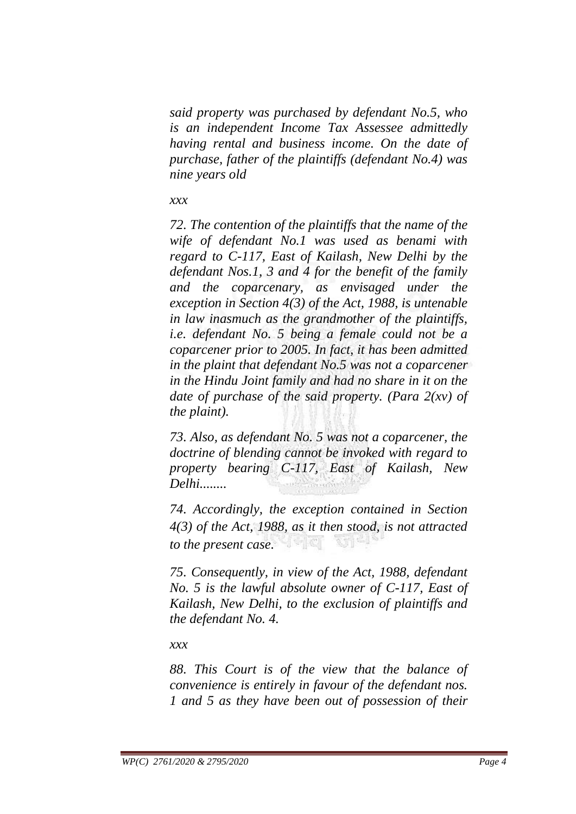*said property was purchased by defendant No.5, who is an independent Income Tax Assessee admittedly having rental and business income. On the date of purchase, father of the plaintiffs (defendant No.4) was nine years old* 

#### *xxx*

*72. The contention of the plaintiffs that the name of the wife of defendant No.1 was used as benami with regard to C-117, East of Kailash, New Delhi by the defendant Nos.1, 3 and 4 for the benefit of the family and the coparcenary, as envisaged under the exception in Section 4(3) of the Act, 1988, is untenable in law inasmuch as the grandmother of the plaintiffs, i.e. defendant No. 5 being a female could not be a coparcener prior to 2005. In fact, it has been admitted in the plaint that defendant No.5 was not a coparcener in the Hindu Joint family and had no share in it on the date of purchase of the said property. (Para 2(xv) of the plaint).*

*73. Also, as defendant No. 5 was not a coparcener, the doctrine of blending cannot be invoked with regard to property bearing C-117, East of Kailash, New Delhi........*

*74. Accordingly, the exception contained in Section 4(3) of the Act, 1988, as it then stood, is not attracted to the present case.* 

*75. Consequently, in view of the Act, 1988, defendant No. 5 is the lawful absolute owner of C-117, East of Kailash, New Delhi, to the exclusion of plaintiffs and the defendant No. 4.*

*xxx*

*88. This Court is of the view that the balance of convenience is entirely in favour of the defendant nos. 1 and 5 as they have been out of possession of their*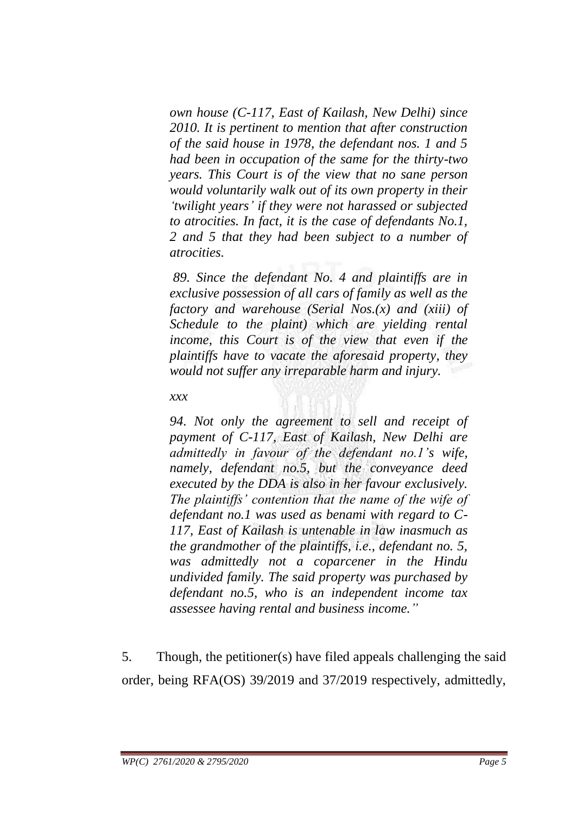*own house (C-117, East of Kailash, New Delhi) since 2010. It is pertinent to mention that after construction of the said house in 1978, the defendant nos. 1 and 5 had been in occupation of the same for the thirty-two years. This Court is of the view that no sane person would voluntarily walk out of its own property in their "twilight years" if they were not harassed or subjected to atrocities. In fact, it is the case of defendants No.1, 2 and 5 that they had been subject to a number of atrocities.*

*89. Since the defendant No. 4 and plaintiffs are in exclusive possession of all cars of family as well as the factory and warehouse (Serial Nos.(x) and (xiii) of Schedule to the plaint) which are yielding rental income, this Court is of the view that even if the plaintiffs have to vacate the aforesaid property, they would not suffer any irreparable harm and injury.*

#### *xxx*

*94. Not only the agreement to sell and receipt of payment of C-117, East of Kailash, New Delhi are admittedly in favour of the defendant no.1"s wife, namely, defendant no.5, but the conveyance deed executed by the DDA is also in her favour exclusively. The plaintiffs" contention that the name of the wife of defendant no.1 was used as benami with regard to C-117, East of Kailash is untenable in law inasmuch as the grandmother of the plaintiffs, i.e., defendant no. 5, was admittedly not a coparcener in the Hindu undivided family. The said property was purchased by defendant no.5, who is an independent income tax assessee having rental and business income."*

5. Though, the petitioner(s) have filed appeals challenging the said order, being RFA(OS) 39/2019 and 37/2019 respectively, admittedly,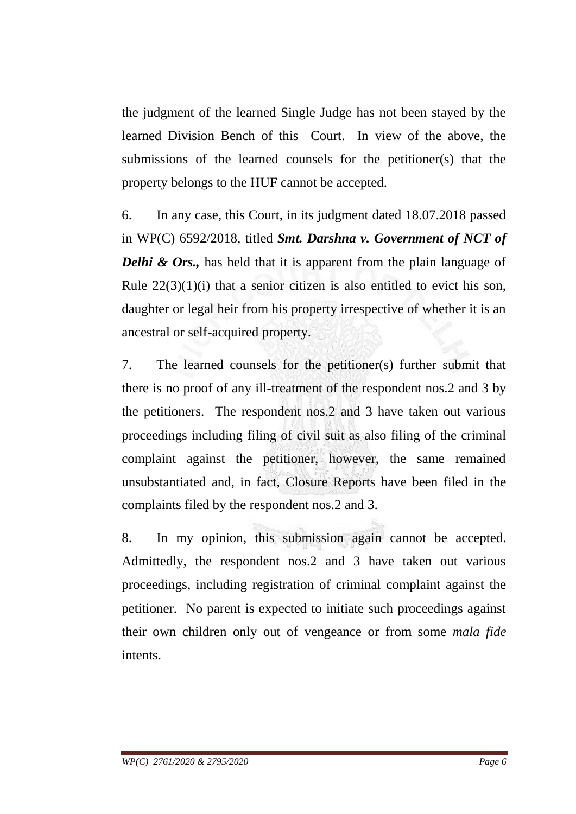the judgment of the learned Single Judge has not been stayed by the learned Division Bench of this Court. In view of the above, the submissions of the learned counsels for the petitioner(s) that the property belongs to the HUF cannot be accepted.

6. In any case, this Court, in its judgment dated 18.07.2018 passed in WP(C) 6592/2018, titled *Smt. Darshna v. Government of NCT of Delhi & Ors.*, has held that it is apparent from the plain language of Rule  $22(3)(1)(i)$  that a senior citizen is also entitled to evict his son, daughter or legal heir from his property irrespective of whether it is an ancestral or self-acquired property.

7. The learned counsels for the petitioner(s) further submit that there is no proof of any ill-treatment of the respondent nos.2 and 3 by the petitioners. The respondent nos.2 and 3 have taken out various proceedings including filing of civil suit as also filing of the criminal complaint against the petitioner, however, the same remained unsubstantiated and, in fact, Closure Reports have been filed in the complaints filed by the respondent nos.2 and 3.

8. In my opinion, this submission again cannot be accepted. Admittedly, the respondent nos.2 and 3 have taken out various proceedings, including registration of criminal complaint against the petitioner. No parent is expected to initiate such proceedings against their own children only out of vengeance or from some *mala fide* intents.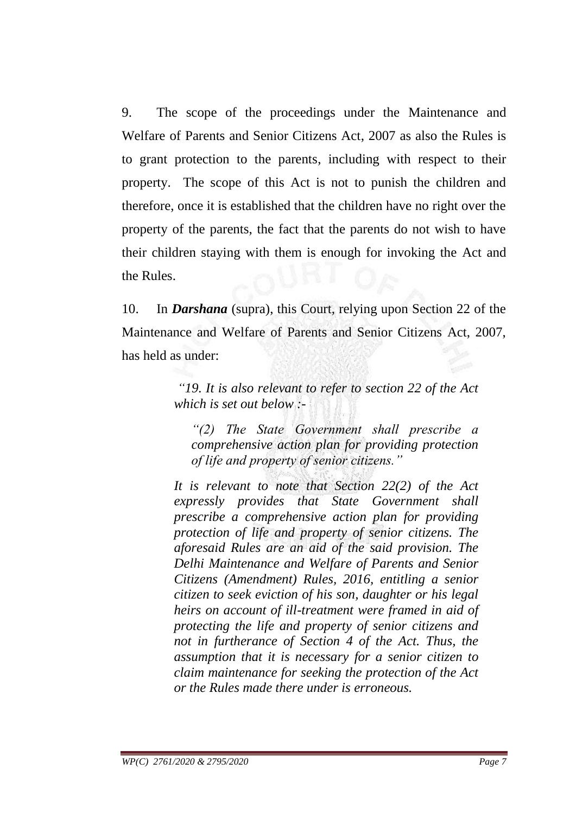9. The scope of the proceedings under the Maintenance and Welfare of Parents and Senior Citizens Act, 2007 as also the Rules is to grant protection to the parents, including with respect to their property. The scope of this Act is not to punish the children and therefore, once it is established that the children have no right over the property of the parents, the fact that the parents do not wish to have their children staying with them is enough for invoking the Act and the Rules.

10. In *Darshana* (supra), this Court, relying upon Section 22 of the Maintenance and Welfare of Parents and Senior Citizens Act, 2007, has held as under:

> *"19. It is also relevant to refer to section 22 of the Act which is set out below :-*

*"(2) The State Government shall prescribe a comprehensive action plan for providing protection of life and property of senior citizens."* 

*It is relevant to note that Section 22(2) of the Act expressly provides that State Government shall prescribe a comprehensive action plan for providing protection of life and property of senior citizens. The aforesaid Rules are an aid of the said provision. The Delhi Maintenance and Welfare of Parents and Senior Citizens (Amendment) Rules, 2016, entitling a senior citizen to seek eviction of his son, daughter or his legal heirs on account of ill-treatment were framed in aid of protecting the life and property of senior citizens and not in furtherance of Section 4 of the Act. Thus, the assumption that it is necessary for a senior citizen to claim maintenance for seeking the protection of the Act or the Rules made there under is erroneous.*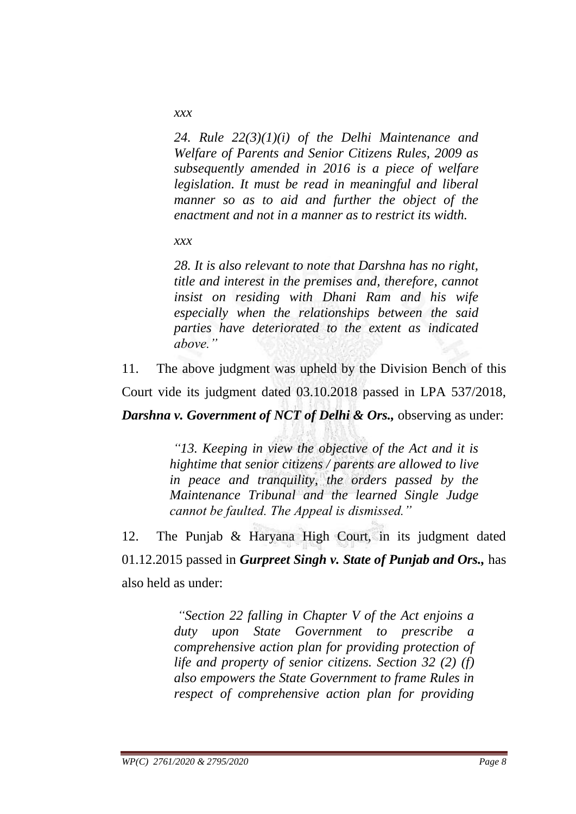*xxx*

*24. Rule 22(3)(1)(i) of the Delhi Maintenance and Welfare of Parents and Senior Citizens Rules, 2009 as subsequently amended in 2016 is a piece of welfare legislation. It must be read in meaningful and liberal manner so as to aid and further the object of the enactment and not in a manner as to restrict its width.*

*xxx*

*28. It is also relevant to note that Darshna has no right, title and interest in the premises and, therefore, cannot insist on residing with Dhani Ram and his wife especially when the relationships between the said parties have deteriorated to the extent as indicated above."*

11. The above judgment was upheld by the Division Bench of this Court vide its judgment dated 03.10.2018 passed in LPA 537/2018, *Darshna v. Government of NCT of Delhi & Ors., observing as under:* 

> *"13. Keeping in view the objective of the Act and it is hightime that senior citizens / parents are allowed to live in peace and tranquility, the orders passed by the Maintenance Tribunal and the learned Single Judge cannot be faulted. The Appeal is dismissed."*

12. The Punjab & Haryana High Court, in its judgment dated 01.12.2015 passed in *Gurpreet Singh v. State of Punjab and Ors.,* has also held as under:

> *"Section 22 falling in Chapter V of the Act enjoins a duty upon State Government to prescribe a comprehensive action plan for providing protection of life and property of senior citizens. Section 32 (2) (f) also empowers the State Government to frame Rules in respect of comprehensive action plan for providing*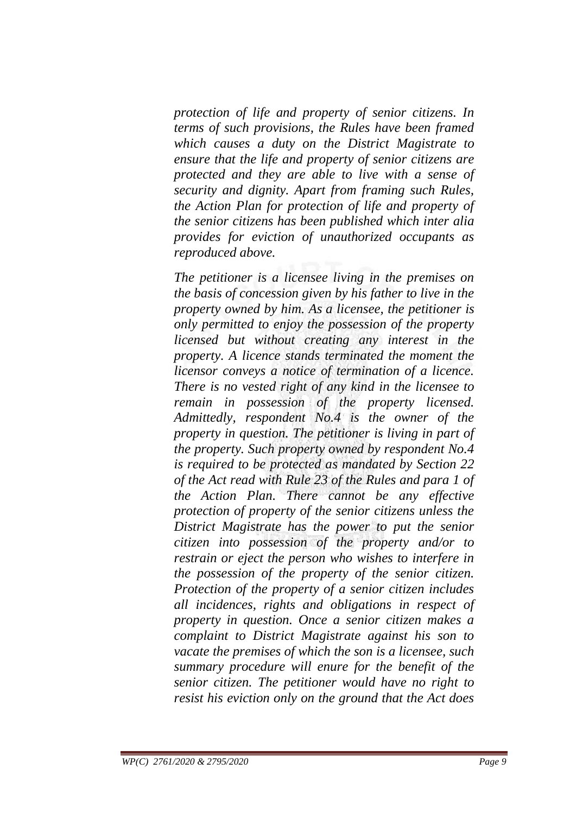*protection of life and property of senior citizens. In terms of such provisions, the Rules have been framed which causes a duty on the District Magistrate to ensure that the life and property of senior citizens are protected and they are able to live with a sense of security and dignity. Apart from framing such Rules, the Action Plan for protection of life and property of the senior citizens has been published which inter alia provides for eviction of unauthorized occupants as reproduced above.*

*The petitioner is a licensee living in the premises on the basis of concession given by his father to live in the property owned by him. As a licensee, the petitioner is only permitted to enjoy the possession of the property licensed but without creating any interest in the property. A licence stands terminated the moment the licensor conveys a notice of termination of a licence. There is no vested right of any kind in the licensee to remain in possession of the property licensed. Admittedly, respondent No.4 is the owner of the property in question. The petitioner is living in part of the property. Such property owned by respondent No.4 is required to be protected as mandated by Section 22 of the Act read with Rule 23 of the Rules and para 1 of the Action Plan. There cannot be any effective protection of property of the senior citizens unless the District Magistrate has the power to put the senior citizen into possession of the property and/or to restrain or eject the person who wishes to interfere in the possession of the property of the senior citizen. Protection of the property of a senior citizen includes all incidences, rights and obligations in respect of property in question. Once a senior citizen makes a complaint to District Magistrate against his son to vacate the premises of which the son is a licensee, such summary procedure will enure for the benefit of the senior citizen. The petitioner would have no right to resist his eviction only on the ground that the Act does*